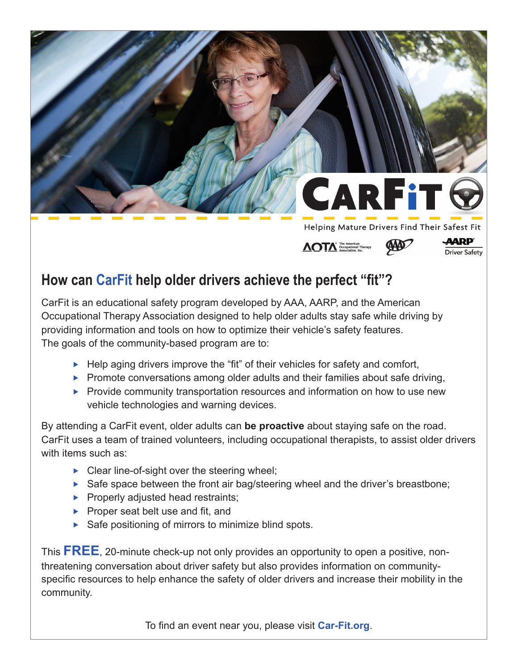

## **How can CarFit help older drivers achieve the perfect "fit"?**

CarFit is an educational safety program developed by AAA, AARP, and the American Occupational Therapy Association designed to help older adults stay safe while driving by providing information and tools on how to optimize their vehicle's safety features. The goals of the community-based program are to:

- $\blacktriangleright$  Help aging drivers improve the "fit" of their vehicles for safety and comfort,
- **Promote conversations among older adults and their families about safe driving,**
- $\blacktriangleright$  Provide community transportation resources and information on how to use new vehicle technologies and warning devices.

By attending a CarFit event, older adults can **be proactive** about staying safe on the road. CarFit uses a team of trained volunteers, including occupational therapists, to assist older drivers with items such as:

- $\triangleright$  Clear line-of-sight over the steering wheel;
- $\blacktriangleright$  Safe space between the front air bag/steering wheel and the driver's breastbone;
- $\blacktriangleright$  Properly adjusted head restraints;
- **Proper seat belt use and fit, and**
- $\blacktriangleright$  Safe positioning of mirrors to minimize blind spots.

This **FREE**, 20-minute check-up not only provides an opportunity to open a positive, nonthreatening conversation about driver safety but also provides information on communityspecific resources to help enhance the safety of older drivers and increase their mobility in the community.

To find an event near you, please visit **Car-Fit.org**.